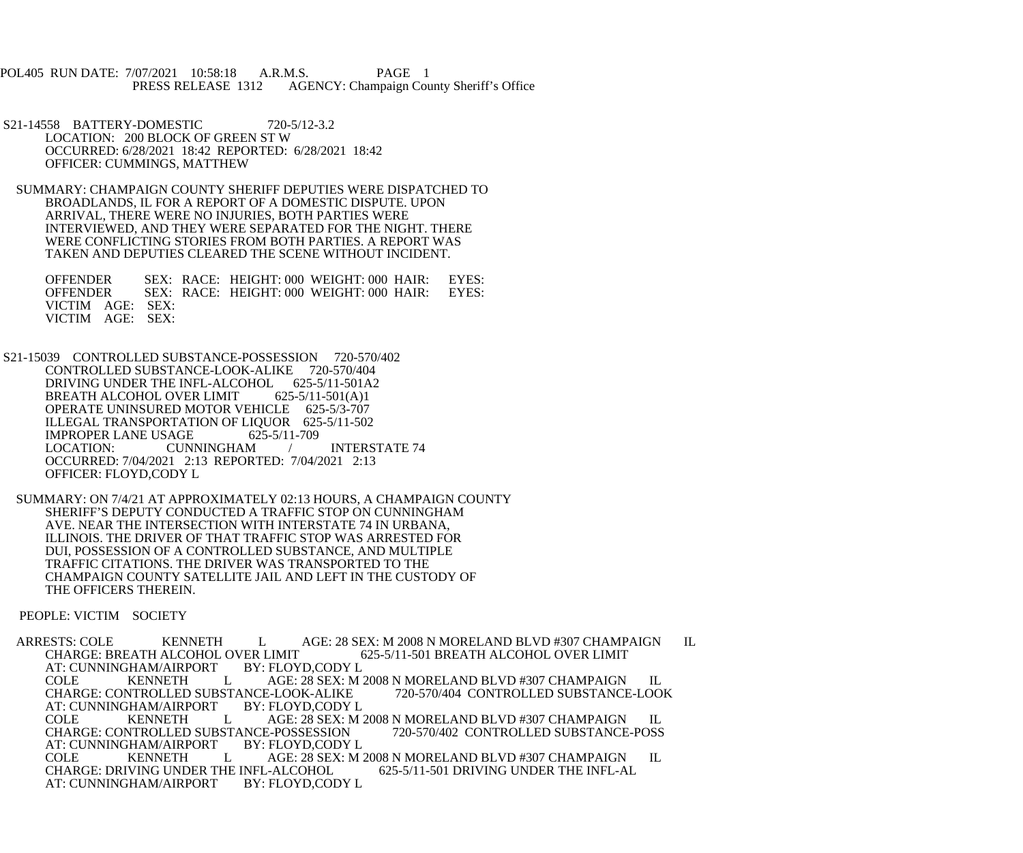POL405 RUN DATE: 7/07/2021 10:58:18 A.R.M.S. PAGE 1<br>PRESS RELEASE 1312 AGENCY: Champaign Cou AGENCY: Champaign County Sheriff's Office

S21-14558 BATTERY-DOMESTIC 720-5/12-3.2 LOCATION: 200 BLOCK OF GREEN ST W OCCURRED: 6/28/2021 18:42 REPORTED: 6/28/2021 18:42 OFFICER: CUMMINGS, MATTHEW

 SUMMARY: CHAMPAIGN COUNTY SHERIFF DEPUTIES WERE DISPATCHED TO BROADLANDS, IL FOR A REPORT OF A DOMESTIC DISPUTE. UPON ARRIVAL, THERE WERE NO INJURIES, BOTH PARTIES WERE INTERVIEWED, AND THEY WERE SEPARATED FOR THE NIGHT. THERE WERE CONFLICTING STORIES FROM BOTH PARTIES. A REPORT WAS TAKEN AND DEPUTIES CLEARED THE SCENE WITHOUT INCIDENT.

 OFFENDER SEX: RACE: HEIGHT: 000 WEIGHT: 000 HAIR: EYES: OFFENDER SEX: RACE: HEIGHT: 000 WEIGHT: 000 HAIR: EYES: VICTIM AGE: SEX: VICTIM AGE: SEX:

 S21-15039 CONTROLLED SUBSTANCE-POSSESSION 720-570/402 CONTROLLED SUBSTANCE-LOOK-ALIKE 720-570/404 DRIVING UNDER THE INFL-ALCOHOL 625-5/11-501A2<br>BREATH ALCOHOL OVER LIMIT 625-5/11-501(A)1 BREATH ALCOHOL OVER LIMIT OPERATE UNINSURED MOTOR VEHICLE 625-5/3-707 ILLEGAL TRANSPORTATION OF LIQUOR 625-5/11-502<br>IMPROPER LANE USAGE 625-5/11-709 IMPROPER LANE USAGE 62<br>LOCATION: CUNNINGHAM LOCATION: CUNNINGHAM / INTERSTATE 74 OCCURRED: 7/04/2021 2:13 REPORTED: 7/04/2021 2:13 OFFICER: FLOYD,CODY L

 SUMMARY: ON 7/4/21 AT APPROXIMATELY 02:13 HOURS, A CHAMPAIGN COUNTY SHERIFF'S DEPUTY CONDUCTED A TRAFFIC STOP ON CUNNINGHAM AVE. NEAR THE INTERSECTION WITH INTERSTATE 74 IN URBANA, ILLINOIS. THE DRIVER OF THAT TRAFFIC STOP WAS ARRESTED FOR DUI, POSSESSION OF A CONTROLLED SUBSTANCE, AND MULTIPLE TRAFFIC CITATIONS. THE DRIVER WAS TRANSPORTED TO THE CHAMPAIGN COUNTY SATELLITE JAIL AND LEFT IN THE CUSTODY OF THE OFFICERS THEREIN.

PEOPLE: VICTIM SOCIETY

ARRESTS: COLE KENNETH L AGE: 28 SEX: M 2008 N MORELAND BLVD #307 CHAMPAIGN IL CHARGE: BREATH ALCOHOL OVER LIMIT VER LIMIT 625-5/11-501 BREATH ALCOHOL OVER LIMIT BY: FLOYD,CODY L AT: CUNNINGHAM/AIRPORT COLE KENNETH L AGE: 28 SEX: M 2008 N MORELAND BLVD #307 CHAMPAIGN IL<br>E-LOOK-ALIKE 720-570/404 CONTROLLED SUBSTANCE-LOOK CHARGE: CONTROLLED SUBSTANCE-LOOK-ALIKE<br>AT: CUNNINGHAM/AIRPORT BY: FLOYD,CODY L AT: CUNNINGHAM/AIRPORT COLE KENNETH L AGE: 28 SEX: M 2008 N MORELAND BLVD #307 CHAMPAIGN IL CHARGE: CONTROLLED SUBSTANCE-POSSESSION 720-570/402 CONTROLLED SUBSTANCE-POSS CHARGE: CONTROLLED SUBSTANCE-POSSESSION<br>AT: CUNNINGHAM/AIRPORT BY: FLOYD,CODY L AT: CUNNINGHAM/AIRPORT COLE KENNETH L AGE: 28 SEX: M 2008 N MORELAND BLVD #307 CHAMPAIGN IL<br>HE INFL-ALCOHOL 625-5/11-501 DRIVING UNDER THE INFL-AL CHARGE: DRIVING UNDER THE INFL-ALCOHOL<br>AT: CUNNINGHAM/AIRPORT BY: FLOYD.CODY L AT: CUNNINGHAM/AIRPORT